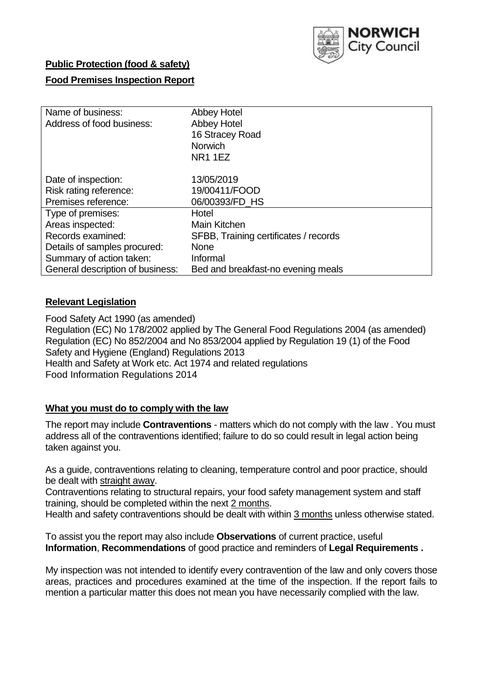

# **Public Protection (food & safety)**

### **Food Premises Inspection Report**

| Name of business:                | <b>Abbey Hotel</b>                    |  |  |  |  |
|----------------------------------|---------------------------------------|--|--|--|--|
| Address of food business:        | <b>Abbey Hotel</b>                    |  |  |  |  |
|                                  | 16 Stracey Road                       |  |  |  |  |
|                                  | <b>Norwich</b>                        |  |  |  |  |
|                                  | <b>NR1 1EZ</b>                        |  |  |  |  |
| Date of inspection:              | 13/05/2019                            |  |  |  |  |
| Risk rating reference:           | 19/00411/FOOD                         |  |  |  |  |
| Premises reference:              | 06/00393/FD HS                        |  |  |  |  |
| Type of premises:                | Hotel                                 |  |  |  |  |
| Areas inspected:                 | Main Kitchen                          |  |  |  |  |
| Records examined:                | SFBB, Training certificates / records |  |  |  |  |
| Details of samples procured:     | <b>None</b>                           |  |  |  |  |
| Summary of action taken:         | Informal                              |  |  |  |  |
| General description of business: | Bed and breakfast-no evening meals    |  |  |  |  |

### **Relevant Legislation**

Food Safety Act 1990 (as amended) Regulation (EC) No 178/2002 applied by The General Food Regulations 2004 (as amended) Regulation (EC) No 852/2004 and No 853/2004 applied by Regulation 19 (1) of the Food Safety and Hygiene (England) Regulations 2013 Health and Safety at Work etc. Act 1974 and related regulations Food Information Regulations 2014

### **What you must do to comply with the law**

The report may include **Contraventions** - matters which do not comply with the law . You must address all of the contraventions identified; failure to do so could result in legal action being taken against you.

As a guide, contraventions relating to cleaning, temperature control and poor practice, should be dealt with straight away.

Contraventions relating to structural repairs, your food safety management system and staff training, should be completed within the next 2 months.

Health and safety contraventions should be dealt with within 3 months unless otherwise stated.

To assist you the report may also include **Observations** of current practice, useful **Information**, **Recommendations** of good practice and reminders of **Legal Requirements .**

My inspection was not intended to identify every contravention of the law and only covers those areas, practices and procedures examined at the time of the inspection. If the report fails to mention a particular matter this does not mean you have necessarily complied with the law.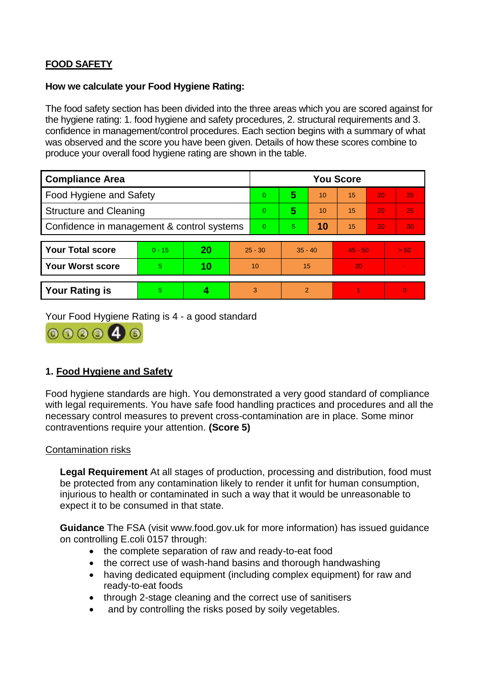# **FOOD SAFETY**

#### **How we calculate your Food Hygiene Rating:**

The food safety section has been divided into the three areas which you are scored against for the hygiene rating: 1. food hygiene and safety procedures, 2. structural requirements and 3. confidence in management/control procedures. Each section begins with a summary of what was observed and the score you have been given. Details of how these scores combine to produce your overall food hygiene rating are shown in the table.

| <b>Compliance Area</b>                     |          |    |           | <b>You Score</b> |                |    |           |    |                |  |  |
|--------------------------------------------|----------|----|-----------|------------------|----------------|----|-----------|----|----------------|--|--|
| Food Hygiene and Safety                    |          |    |           | $\overline{0}$   | 5              | 10 | 15        | 20 | 25             |  |  |
| <b>Structure and Cleaning</b>              |          |    |           | $\Omega$         | 5              | 10 | 15        | 20 | 25             |  |  |
| Confidence in management & control systems |          |    | $\Omega$  | 5                | 10             | 15 | 20        | 30 |                |  |  |
|                                            |          |    |           |                  |                |    |           |    |                |  |  |
| <b>Your Total score</b>                    | $0 - 15$ | 20 | $25 - 30$ |                  | $35 - 40$      |    | $45 - 50$ |    | > 50           |  |  |
| <b>Your Worst score</b>                    | 5        | 10 | 10        |                  | 15             |    | 20        |    | $\blacksquare$ |  |  |
|                                            |          |    |           |                  |                |    |           |    |                |  |  |
| <b>Your Rating is</b>                      | 5        |    |           | 3                | $\overline{2}$ |    |           |    | $\Omega$       |  |  |

Your Food Hygiene Rating is 4 - a good standard



## **1. Food Hygiene and Safety**

Food hygiene standards are high. You demonstrated a very good standard of compliance with legal requirements. You have safe food handling practices and procedures and all the necessary control measures to prevent cross-contamination are in place. Some minor contraventions require your attention. **(Score 5)**

### Contamination risks

**Legal Requirement** At all stages of production, processing and distribution, food must be protected from any contamination likely to render it unfit for human consumption, injurious to health or contaminated in such a way that it would be unreasonable to expect it to be consumed in that state.

**Guidance** The FSA (visit www.food.gov.uk for more information) has issued guidance on controlling E.coli 0157 through:

- the complete separation of raw and ready-to-eat food
- the correct use of wash-hand basins and thorough handwashing
- having dedicated equipment (including complex equipment) for raw and ready-to-eat foods
- through 2-stage cleaning and the correct use of sanitisers
- and by controlling the risks posed by soily vegetables.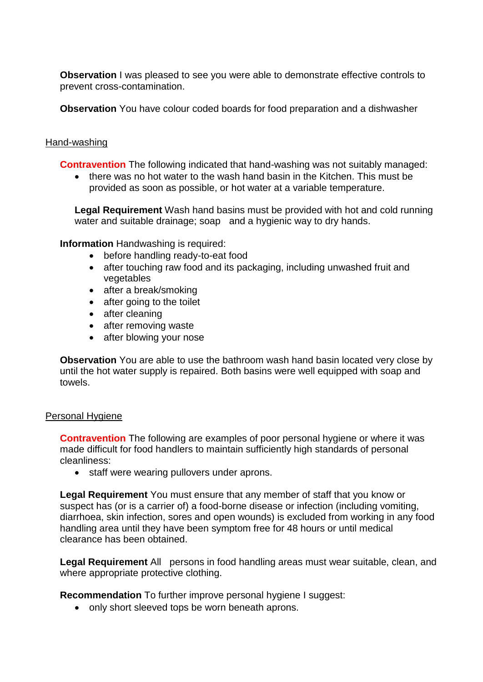**Observation** I was pleased to see you were able to demonstrate effective controls to prevent cross-contamination.

**Observation** You have colour coded boards for food preparation and a dishwasher

### Hand-washing

**Contravention** The following indicated that hand-washing was not suitably managed:

• there was no hot water to the wash hand basin in the Kitchen. This must be provided as soon as possible, or hot water at a variable temperature.

**Legal Requirement** Wash hand basins must be provided with hot and cold running water and suitable drainage; soap and a hygienic way to dry hands.

**Information** Handwashing is required:

- before handling ready-to-eat food
- after touching raw food and its packaging, including unwashed fruit and vegetables
- after a break/smoking
- after going to the toilet
- after cleaning
- after removing waste
- after blowing your nose

**Observation** You are able to use the bathroom wash hand basin located very close by until the hot water supply is repaired. Both basins were well equipped with soap and towels.

### Personal Hygiene

**Contravention** The following are examples of poor personal hygiene or where it was made difficult for food handlers to maintain sufficiently high standards of personal cleanliness:

• staff were wearing pullovers under aprons.

**Legal Requirement** You must ensure that any member of staff that you know or suspect has (or is a carrier of) a food-borne disease or infection (including vomiting, diarrhoea, skin infection, sores and open wounds) is excluded from working in any food handling area until they have been symptom free for 48 hours or until medical clearance has been obtained.

**Legal Requirement** All persons in food handling areas must wear suitable, clean, and where appropriate protective clothing.

**Recommendation** To further improve personal hygiene I suggest:

• only short sleeved tops be worn beneath aprons.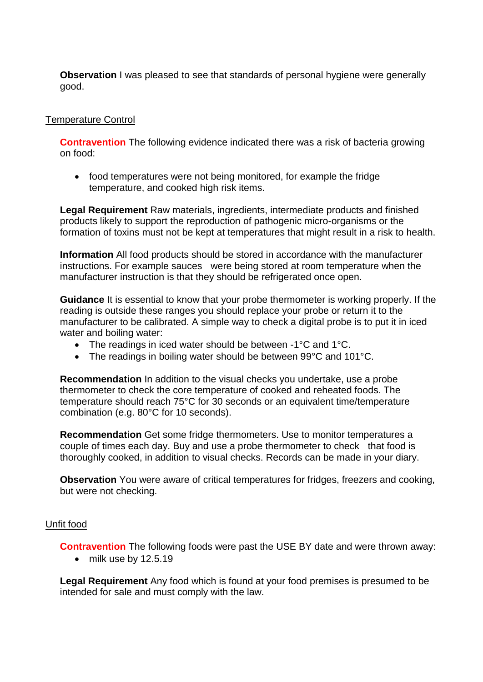**Observation** I was pleased to see that standards of personal hygiene were generally good.

### Temperature Control

**Contravention** The following evidence indicated there was a risk of bacteria growing on food:

 food temperatures were not being monitored, for example the fridge temperature, and cooked high risk items.

**Legal Requirement** Raw materials, ingredients, intermediate products and finished products likely to support the reproduction of pathogenic micro-organisms or the formation of toxins must not be kept at temperatures that might result in a risk to health.

**Information** All food products should be stored in accordance with the manufacturer instructions. For example sauces were being stored at room temperature when the manufacturer instruction is that they should be refrigerated once open.

**Guidance** It is essential to know that your probe thermometer is working properly. If the reading is outside these ranges you should replace your probe or return it to the manufacturer to be calibrated. A simple way to check a digital probe is to put it in iced water and boiling water:

- The readings in iced water should be between -1°C and 1°C.
- The readings in boiling water should be between 99°C and 101°C.

**Recommendation** In addition to the visual checks you undertake, use a probe thermometer to check the core temperature of cooked and reheated foods. The temperature should reach 75°C for 30 seconds or an equivalent time/temperature combination (e.g. 80°C for 10 seconds).

**Recommendation** Get some fridge thermometers. Use to monitor temperatures a couple of times each day. Buy and use a probe thermometer to check that food is thoroughly cooked, in addition to visual checks. Records can be made in your diary.

**Observation** You were aware of critical temperatures for fridges, freezers and cooking, but were not checking.

### Unfit food

**Contravention** The following foods were past the USE BY date and were thrown away:

• milk use by 12.5.19

**Legal Requirement** Any food which is found at your food premises is presumed to be intended for sale and must comply with the law.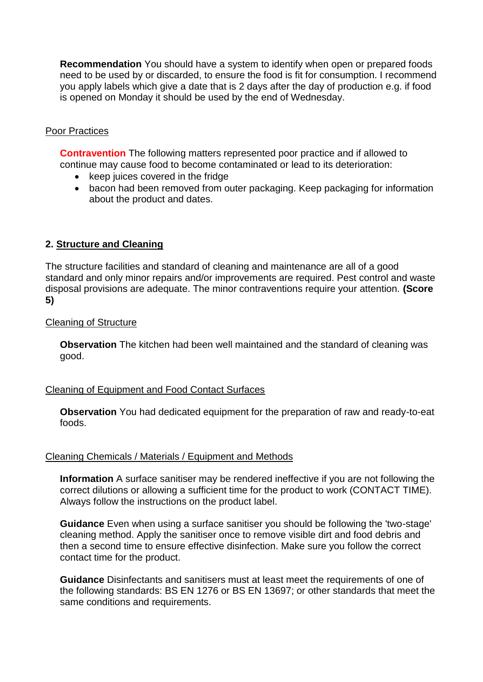**Recommendation** You should have a system to identify when open or prepared foods need to be used by or discarded, to ensure the food is fit for consumption. I recommend you apply labels which give a date that is 2 days after the day of production e.g. if food is opened on Monday it should be used by the end of Wednesday.

### Poor Practices

**Contravention** The following matters represented poor practice and if allowed to continue may cause food to become contaminated or lead to its deterioration:

- keep juices covered in the fridge
- bacon had been removed from outer packaging. Keep packaging for information about the product and dates.

### **2. Structure and Cleaning**

The structure facilities and standard of cleaning and maintenance are all of a good standard and only minor repairs and/or improvements are required. Pest control and waste disposal provisions are adequate. The minor contraventions require your attention. **(Score 5)**

### Cleaning of Structure

**Observation** The kitchen had been well maintained and the standard of cleaning was good.

### Cleaning of Equipment and Food Contact Surfaces

**Observation** You had dedicated equipment for the preparation of raw and ready-to-eat foods.

#### Cleaning Chemicals / Materials / Equipment and Methods

**Information** A surface sanitiser may be rendered ineffective if you are not following the correct dilutions or allowing a sufficient time for the product to work (CONTACT TIME). Always follow the instructions on the product label.

**Guidance** Even when using a surface sanitiser you should be following the 'two-stage' cleaning method. Apply the sanitiser once to remove visible dirt and food debris and then a second time to ensure effective disinfection. Make sure you follow the correct contact time for the product.

**Guidance** Disinfectants and sanitisers must at least meet the requirements of one of the following standards: BS EN 1276 or BS EN 13697; or other standards that meet the same conditions and requirements.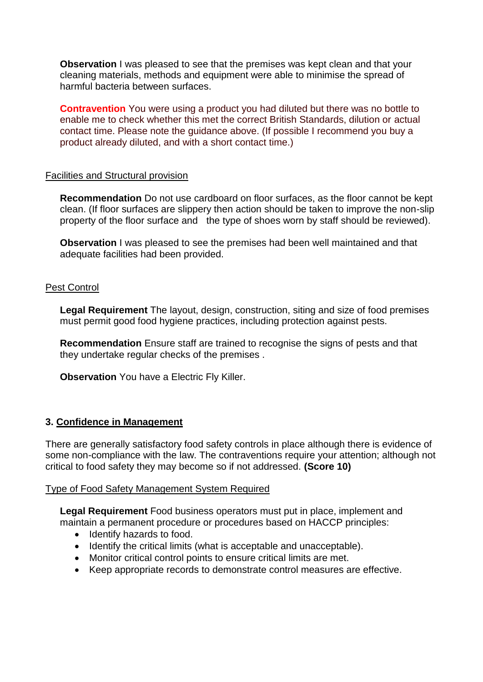**Observation** I was pleased to see that the premises was kept clean and that your cleaning materials, methods and equipment were able to minimise the spread of harmful bacteria between surfaces.

**Contravention** You were using a product you had diluted but there was no bottle to enable me to check whether this met the correct British Standards, dilution or actual contact time. Please note the guidance above. (If possible I recommend you buy a product already diluted, and with a short contact time.)

#### Facilities and Structural provision

**Recommendation** Do not use cardboard on floor surfaces, as the floor cannot be kept clean. (If floor surfaces are slippery then action should be taken to improve the non-slip property of the floor surface and the type of shoes worn by staff should be reviewed).

**Observation** I was pleased to see the premises had been well maintained and that adequate facilities had been provided.

### Pest Control

**Legal Requirement** The layout, design, construction, siting and size of food premises must permit good food hygiene practices, including protection against pests.

**Recommendation** Ensure staff are trained to recognise the signs of pests and that they undertake regular checks of the premises .

**Observation** You have a Electric Fly Killer.

### **3. Confidence in Management**

There are generally satisfactory food safety controls in place although there is evidence of some non-compliance with the law. The contraventions require your attention; although not critical to food safety they may become so if not addressed. **(Score 10)**

#### Type of Food Safety Management System Required

**Legal Requirement** Food business operators must put in place, implement and maintain a permanent procedure or procedures based on HACCP principles:

- Identify hazards to food.
- Identify the critical limits (what is acceptable and unacceptable).
- Monitor critical control points to ensure critical limits are met.
- Keep appropriate records to demonstrate control measures are effective.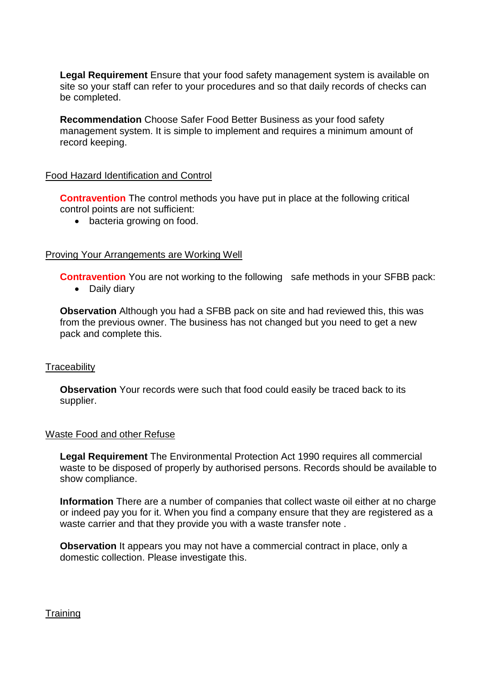**Legal Requirement** Ensure that your food safety management system is available on site so your staff can refer to your procedures and so that daily records of checks can be completed.

**Recommendation** Choose Safer Food Better Business as your food safety management system. It is simple to implement and requires a minimum amount of record keeping.

#### Food Hazard Identification and Control

**Contravention** The control methods you have put in place at the following critical control points are not sufficient:

• bacteria growing on food.

#### Proving Your Arrangements are Working Well

**Contravention** You are not working to the following safe methods in your SFBB pack: • Daily diary

**Observation** Although you had a SFBB pack on site and had reviewed this, this was from the previous owner. The business has not changed but you need to get a new pack and complete this.

#### **Traceability**

**Observation** Your records were such that food could easily be traced back to its supplier.

#### Waste Food and other Refuse

**Legal Requirement** The Environmental Protection Act 1990 requires all commercial waste to be disposed of properly by authorised persons. Records should be available to show compliance.

**Information** There are a number of companies that collect waste oil either at no charge or indeed pay you for it. When you find a company ensure that they are registered as a waste carrier and that they provide you with a waste transfer note .

**Observation** It appears you may not have a commercial contract in place, only a domestic collection. Please investigate this.

**Training**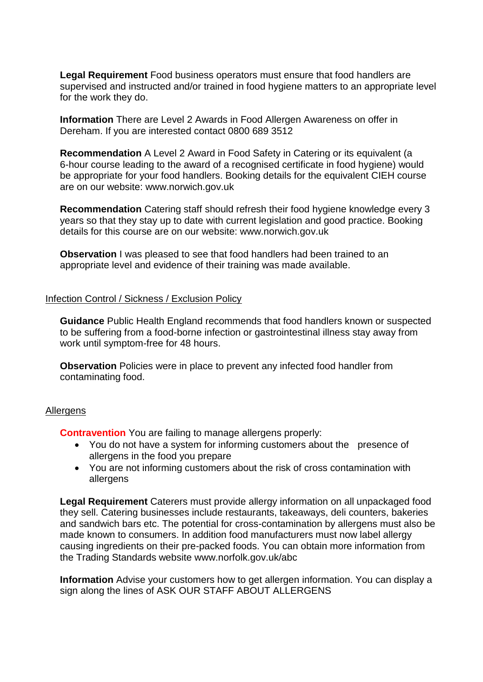**Legal Requirement** Food business operators must ensure that food handlers are supervised and instructed and/or trained in food hygiene matters to an appropriate level for the work they do.

**Information** There are Level 2 Awards in Food Allergen Awareness on offer in Dereham. If you are interested contact 0800 689 3512

**Recommendation** A Level 2 Award in Food Safety in Catering or its equivalent (a 6-hour course leading to the award of a recognised certificate in food hygiene) would be appropriate for your food handlers. Booking details for the equivalent CIEH course are on our website: www.norwich.gov.uk

**Recommendation** Catering staff should refresh their food hygiene knowledge every 3 years so that they stay up to date with current legislation and good practice. Booking details for this course are on our website: www.norwich.gov.uk

**Observation** I was pleased to see that food handlers had been trained to an appropriate level and evidence of their training was made available.

#### Infection Control / Sickness / Exclusion Policy

**Guidance** Public Health England recommends that food handlers known or suspected to be suffering from a food-borne infection or gastrointestinal illness stay away from work until symptom-free for 48 hours.

**Observation** Policies were in place to prevent any infected food handler from contaminating food.

#### **Allergens**

**Contravention** You are failing to manage allergens properly:

- You do not have a system for informing customers about the presence of allergens in the food you prepare
- You are not informing customers about the risk of cross contamination with allergens

**Legal Requirement** Caterers must provide allergy information on all unpackaged food they sell. Catering businesses include restaurants, takeaways, deli counters, bakeries and sandwich bars etc. The potential for cross-contamination by allergens must also be made known to consumers. In addition food manufacturers must now label allergy causing ingredients on their pre-packed foods. You can obtain more information from the Trading Standards website www.norfolk.gov.uk/abc

**Information** Advise your customers how to get allergen information. You can display a sign along the lines of ASK OUR STAFF ABOUT ALLERGENS